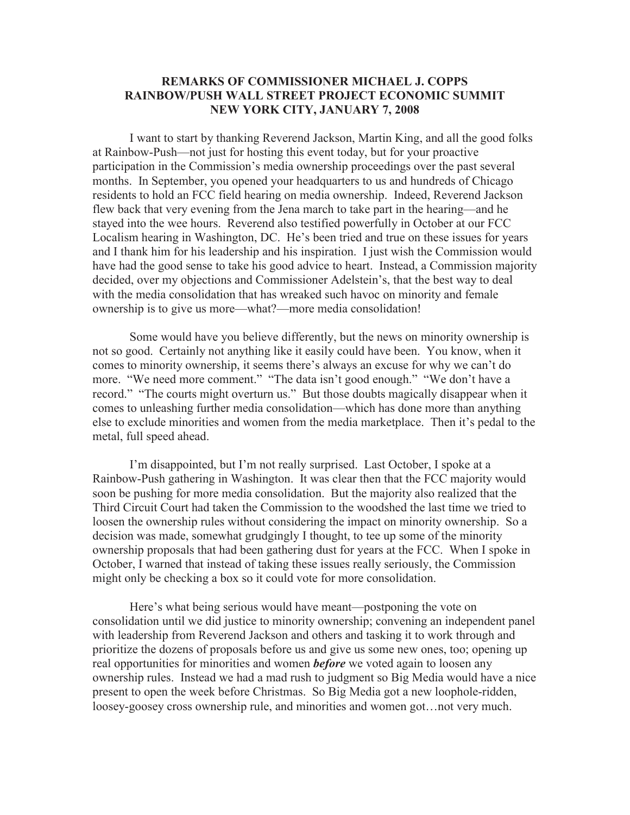## **REMARKS OF COMMISSIONER MICHAEL J. COPPS RAINBOW/PUSH WALL STREET PROJECT ECONOMIC SUMMIT NEW YORK CITY, JANUARY 7, 2008**

I want to start by thanking Reverend Jackson, Martin King, and all the good folks at Rainbow-Push—not just for hosting this event today, but for your proactive participation in the Commission's media ownership proceedings over the past several months. In September, you opened your headquarters to us and hundreds of Chicago residents to hold an FCC field hearing on media ownership. Indeed, Reverend Jackson flew back that very evening from the Jena march to take part in the hearing—and he stayed into the wee hours. Reverend also testified powerfully in October at our FCC Localism hearing in Washington, DC. He's been tried and true on these issues for years and I thank him for his leadership and his inspiration. I just wish the Commission would have had the good sense to take his good advice to heart. Instead, a Commission majority decided, over my objections and Commissioner Adelstein's, that the best way to deal with the media consolidation that has wreaked such havoc on minority and female ownership is to give us more—what?—more media consolidation!

Some would have you believe differently, but the news on minority ownership is not so good. Certainly not anything like it easily could have been. You know, when it comes to minority ownership, it seems there's always an excuse for why we can't do more. "We need more comment." "The data isn't good enough." "We don't have a record." "The courts might overturn us." But those doubts magically disappear when it comes to unleashing further media consolidation—which has done more than anything else to exclude minorities and women from the media marketplace. Then it's pedal to the metal, full speed ahead.

I'm disappointed, but I'm not really surprised. Last October, I spoke at a Rainbow-Push gathering in Washington. It was clear then that the FCC majority would soon be pushing for more media consolidation. But the majority also realized that the Third Circuit Court had taken the Commission to the woodshed the last time we tried to loosen the ownership rules without considering the impact on minority ownership. So a decision was made, somewhat grudgingly I thought, to tee up some of the minority ownership proposals that had been gathering dust for years at the FCC. When I spoke in October, I warned that instead of taking these issues really seriously, the Commission might only be checking a box so it could vote for more consolidation.

Here's what being serious would have meant—postponing the vote on consolidation until we did justice to minority ownership; convening an independent panel with leadership from Reverend Jackson and others and tasking it to work through and prioritize the dozens of proposals before us and give us some new ones, too; opening up real opportunities for minorities and women *before* we voted again to loosen any ownership rules. Instead we had a mad rush to judgment so Big Media would have a nice present to open the week before Christmas. So Big Media got a new loophole-ridden, loosey-goosey cross ownership rule, and minorities and women got…not very much.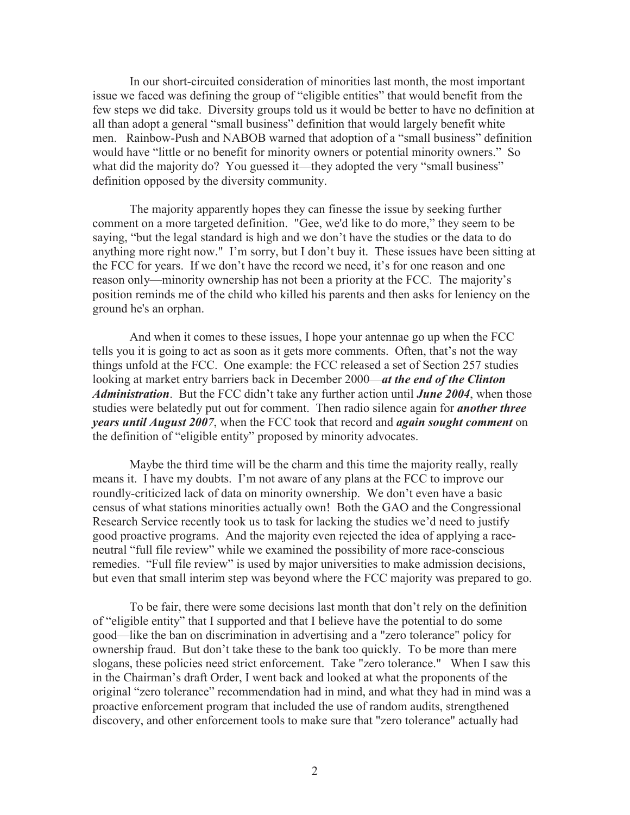In our short-circuited consideration of minorities last month, the most important issue we faced was defining the group of "eligible entities" that would benefit from the few steps we did take. Diversity groups told us it would be better to have no definition at all than adopt a general "small business" definition that would largely benefit white men. Rainbow-Push and NABOB warned that adoption of a "small business" definition would have "little or no benefit for minority owners or potential minority owners." So what did the majority do? You guessed it—they adopted the very "small business" definition opposed by the diversity community.

The majority apparently hopes they can finesse the issue by seeking further comment on a more targeted definition. "Gee, we'd like to do more," they seem to be saying, "but the legal standard is high and we don't have the studies or the data to do anything more right now." I'm sorry, but I don't buy it. These issues have been sitting at the FCC for years. If we don't have the record we need, it's for one reason and one reason only—minority ownership has not been a priority at the FCC. The majority's position reminds me of the child who killed his parents and then asks for leniency on the ground he's an orphan.

And when it comes to these issues, I hope your antennae go up when the FCC tells you it is going to act as soon as it gets more comments. Often, that's not the way things unfold at the FCC. One example: the FCC released a set of Section 257 studies looking at market entry barriers back in December 2000—*at the end of the Clinton Administration*. But the FCC didn't take any further action until *June 2004*, when those studies were belatedly put out for comment. Then radio silence again for *another three years until August 2007*, when the FCC took that record and *again sought comment* on the definition of "eligible entity" proposed by minority advocates.

Maybe the third time will be the charm and this time the majority really, really means it. I have my doubts. I'm not aware of any plans at the FCC to improve our roundly-criticized lack of data on minority ownership. We don't even have a basic census of what stations minorities actually own! Both the GAO and the Congressional Research Service recently took us to task for lacking the studies we'd need to justify good proactive programs. And the majority even rejected the idea of applying a raceneutral "full file review" while we examined the possibility of more race-conscious remedies. "Full file review" is used by major universities to make admission decisions, but even that small interim step was beyond where the FCC majority was prepared to go.

To be fair, there were some decisions last month that don't rely on the definition of "eligible entity" that I supported and that I believe have the potential to do some good—like the ban on discrimination in advertising and a "zero tolerance" policy for ownership fraud. But don't take these to the bank too quickly. To be more than mere slogans, these policies need strict enforcement. Take "zero tolerance." When I saw this in the Chairman's draft Order, I went back and looked at what the proponents of the original "zero tolerance" recommendation had in mind, and what they had in mind was a proactive enforcement program that included the use of random audits, strengthened discovery, and other enforcement tools to make sure that "zero tolerance" actually had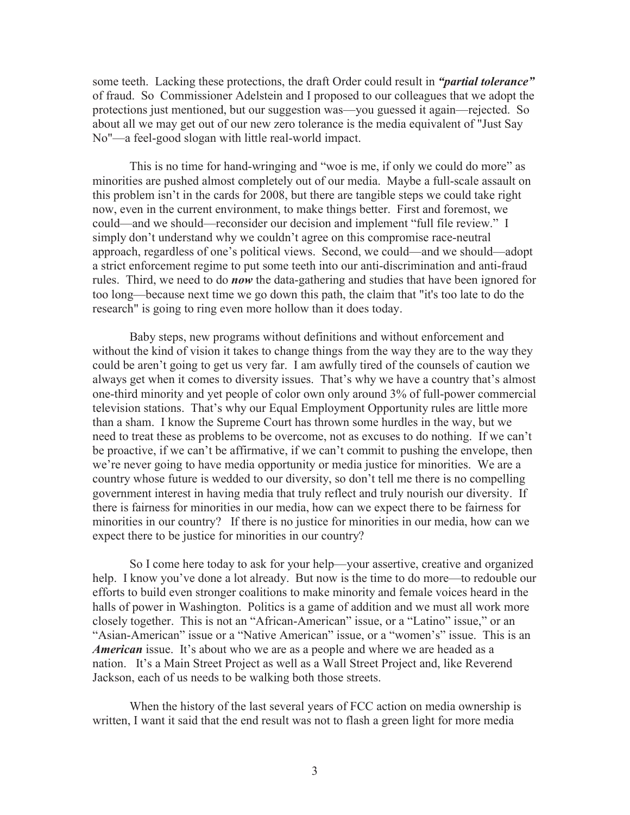some teeth. Lacking these protections, the draft Order could result in *"partial tolerance"*  of fraud. So Commissioner Adelstein and I proposed to our colleagues that we adopt the protections just mentioned, but our suggestion was—you guessed it again—rejected. So about all we may get out of our new zero tolerance is the media equivalent of "Just Say No"—a feel-good slogan with little real-world impact.

This is no time for hand-wringing and "woe is me, if only we could do more" as minorities are pushed almost completely out of our media. Maybe a full-scale assault on this problem isn't in the cards for 2008, but there are tangible steps we could take right now, even in the current environment, to make things better. First and foremost, we could—and we should—reconsider our decision and implement "full file review." I simply don't understand why we couldn't agree on this compromise race-neutral approach, regardless of one's political views. Second, we could—and we should—adopt a strict enforcement regime to put some teeth into our anti-discrimination and anti-fraud rules. Third, we need to do *now* the data-gathering and studies that have been ignored for too long—because next time we go down this path, the claim that "it's too late to do the research" is going to ring even more hollow than it does today.

Baby steps, new programs without definitions and without enforcement and without the kind of vision it takes to change things from the way they are to the way they could be aren't going to get us very far. I am awfully tired of the counsels of caution we always get when it comes to diversity issues. That's why we have a country that's almost one-third minority and yet people of color own only around 3% of full-power commercial television stations. That's why our Equal Employment Opportunity rules are little more than a sham. I know the Supreme Court has thrown some hurdles in the way, but we need to treat these as problems to be overcome, not as excuses to do nothing. If we can't be proactive, if we can't be affirmative, if we can't commit to pushing the envelope, then we're never going to have media opportunity or media justice for minorities. We are a country whose future is wedded to our diversity, so don't tell me there is no compelling government interest in having media that truly reflect and truly nourish our diversity. If there is fairness for minorities in our media, how can we expect there to be fairness for minorities in our country? If there is no justice for minorities in our media, how can we expect there to be justice for minorities in our country?

So I come here today to ask for your help—your assertive, creative and organized help. I know you've done a lot already. But now is the time to do more—to redouble our efforts to build even stronger coalitions to make minority and female voices heard in the halls of power in Washington. Politics is a game of addition and we must all work more closely together. This is not an "African-American" issue, or a "Latino" issue," or an "Asian-American" issue or a "Native American" issue, or a "women's" issue. This is an *American* issue. It's about who we are as a people and where we are headed as a nation. It's a Main Street Project as well as a Wall Street Project and, like Reverend Jackson, each of us needs to be walking both those streets.

When the history of the last several years of FCC action on media ownership is written, I want it said that the end result was not to flash a green light for more media